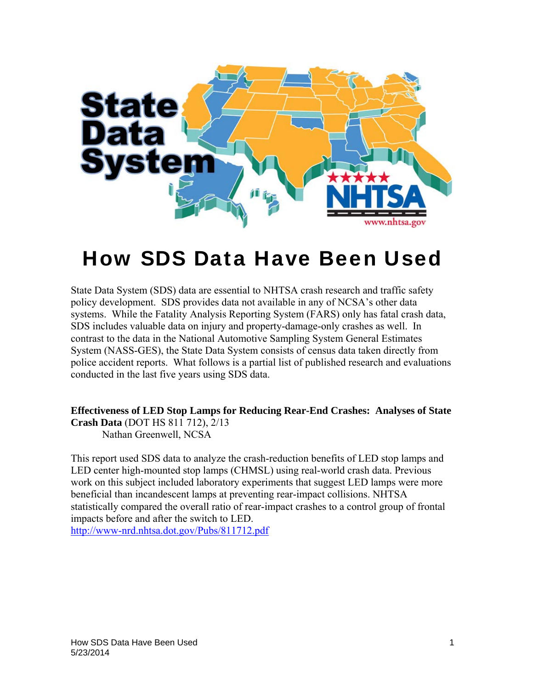

# How SDS Data Have Been Used

State Data System (SDS) data are essential to NHTSA crash research and traffic safety policy development. SDS provides data not available in any of NCSA's other data systems. While the Fatality Analysis Reporting System (FARS) only has fatal crash data, SDS includes valuable data on injury and property-damage-only crashes as well. In contrast to the data in the National Automotive Sampling System General Estimates System (NASS-GES), the State Data System consists of census data taken directly from police accident reports. What follows is a partial list of published research and evaluations conducted in the last five years using SDS data.

**Effectiveness of LED Stop Lamps for Reducing Rear-End Crashes: Analyses of State Crash Data** (DOT HS 811 712), 2/13 Nathan Greenwell, NCSA

This report used SDS data to analyze the crash-reduction benefits of LED stop lamps and LED center high-mounted stop lamps (CHMSL) using real-world crash data. Previous work on this subject included laboratory experiments that suggest LED lamps were more beneficial than incandescent lamps at preventing rear-impact collisions. NHTSA statistically compared the overall ratio of rear-impact crashes to a control group of frontal impacts before and after the switch to LED. http://www-nrd.nhtsa.dot.gov/Pubs/811712.pdf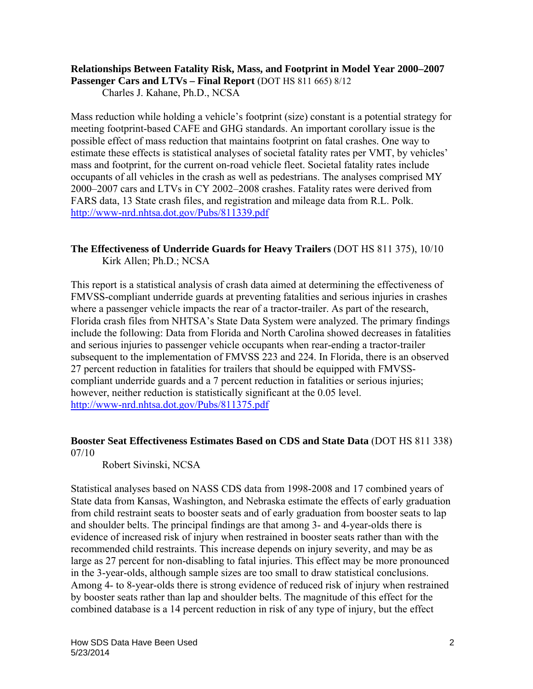# **Relationships Between Fatality Risk, Mass, and Footprint in Model Year 2000–2007**

Passenger Cars and LTVs – Final Report (DOT HS 811 665) 8/12

Charles J. Kahane, Ph.D., NCSA

Mass reduction while holding a vehicle's footprint (size) constant is a potential strategy for meeting footprint-based CAFE and GHG standards. An important corollary issue is the possible effect of mass reduction that maintains footprint on fatal crashes. One way to estimate these effects is statistical analyses of societal fatality rates per VMT, by vehicles' mass and footprint, for the current on-road vehicle fleet. Societal fatality rates include occupants of all vehicles in the crash as well as pedestrians. The analyses comprised MY 2000–2007 cars and LTVs in CY 2002–2008 crashes. Fatality rates were derived from FARS data, 13 State crash files, and registration and mileage data from R.L. Polk. http://www-nrd.nhtsa.dot.gov/Pubs/811339.pdf

# **The Effectiveness of Underride Guards for Heavy Trailers** (DOT HS 811 375), 10/10 Kirk Allen; Ph.D.; NCSA

This report is a statistical analysis of crash data aimed at determining the effectiveness of FMVSS-compliant underride guards at preventing fatalities and serious injuries in crashes where a passenger vehicle impacts the rear of a tractor-trailer. As part of the research, Florida crash files from NHTSA's State Data System were analyzed. The primary findings include the following: Data from Florida and North Carolina showed decreases in fatalities and serious injuries to passenger vehicle occupants when rear-ending a tractor-trailer subsequent to the implementation of FMVSS 223 and 224. In Florida, there is an observed 27 percent reduction in fatalities for trailers that should be equipped with FMVSScompliant underride guards and a 7 percent reduction in fatalities or serious injuries; however, neither reduction is statistically significant at the 0.05 level. http://www-nrd.nhtsa.dot.gov/Pubs/811375.pdf

#### **Booster Seat Effectiveness Estimates Based on CDS and State Data** (DOT HS 811 338) 07/10

Robert Sivinski, NCSA

Statistical analyses based on NASS CDS data from 1998-2008 and 17 combined years of State data from Kansas, Washington, and Nebraska estimate the effects of early graduation from child restraint seats to booster seats and of early graduation from booster seats to lap and shoulder belts. The principal findings are that among 3- and 4-year-olds there is evidence of increased risk of injury when restrained in booster seats rather than with the recommended child restraints. This increase depends on injury severity, and may be as large as 27 percent for non-disabling to fatal injuries. This effect may be more pronounced in the 3-year-olds, although sample sizes are too small to draw statistical conclusions. Among 4- to 8-year-olds there is strong evidence of reduced risk of injury when restrained by booster seats rather than lap and shoulder belts. The magnitude of this effect for the combined database is a 14 percent reduction in risk of any type of injury, but the effect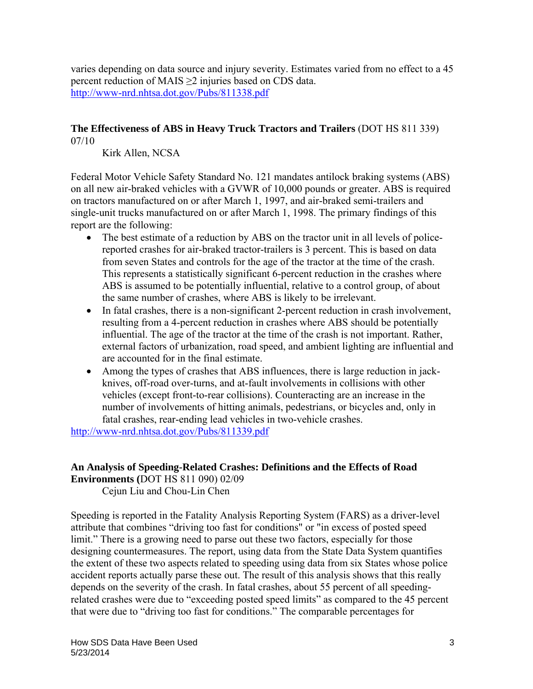varies depending on data source and injury severity. Estimates varied from no effect to a 45 percent reduction of MAIS ≥2 injuries based on CDS data. http://www-nrd.nhtsa.dot.gov/Pubs/811338.pdf

# **The Effectiveness of ABS in Heavy Truck Tractors and Trailers** (DOT HS 811 339) 07/10

Kirk Allen, NCSA

Federal Motor Vehicle Safety Standard No. 121 mandates antilock braking systems (ABS) on all new air-braked vehicles with a GVWR of 10,000 pounds or greater. ABS is required on tractors manufactured on or after March 1, 1997, and air-braked semi-trailers and single-unit trucks manufactured on or after March 1, 1998. The primary findings of this report are the following:

- The best estimate of a reduction by ABS on the tractor unit in all levels of policereported crashes for air-braked tractor-trailers is 3 percent. This is based on data from seven States and controls for the age of the tractor at the time of the crash. This represents a statistically significant 6-percent reduction in the crashes where ABS is assumed to be potentially influential, relative to a control group, of about the same number of crashes, where ABS is likely to be irrelevant.
- In fatal crashes, there is a non-significant 2-percent reduction in crash involvement, resulting from a 4-percent reduction in crashes where ABS should be potentially influential. The age of the tractor at the time of the crash is not important. Rather, external factors of urbanization, road speed, and ambient lighting are influential and are accounted for in the final estimate.
- Among the types of crashes that ABS influences, there is large reduction in jackknives, off-road over-turns, and at-fault involvements in collisions with other vehicles (except front-to-rear collisions). Counteracting are an increase in the number of involvements of hitting animals, pedestrians, or bicycles and, only in fatal crashes, rear-ending lead vehicles in two-vehicle crashes.

http://www-nrd.nhtsa.dot.gov/Pubs/811339.pdf

#### **An Analysis of Speeding-Related Crashes: Definitions and the Effects of Road Environments (**DOT HS 811 090) 02/09

Cejun Liu and Chou-Lin Chen

Speeding is reported in the Fatality Analysis Reporting System (FARS) as a driver-level attribute that combines "driving too fast for conditions" or "in excess of posted speed limit." There is a growing need to parse out these two factors, especially for those designing countermeasures. The report, using data from the State Data System quantifies the extent of these two aspects related to speeding using data from six States whose police accident reports actually parse these out. The result of this analysis shows that this really depends on the severity of the crash. In fatal crashes, about 55 percent of all speedingrelated crashes were due to "exceeding posted speed limits" as compared to the 45 percent that were due to "driving too fast for conditions." The comparable percentages for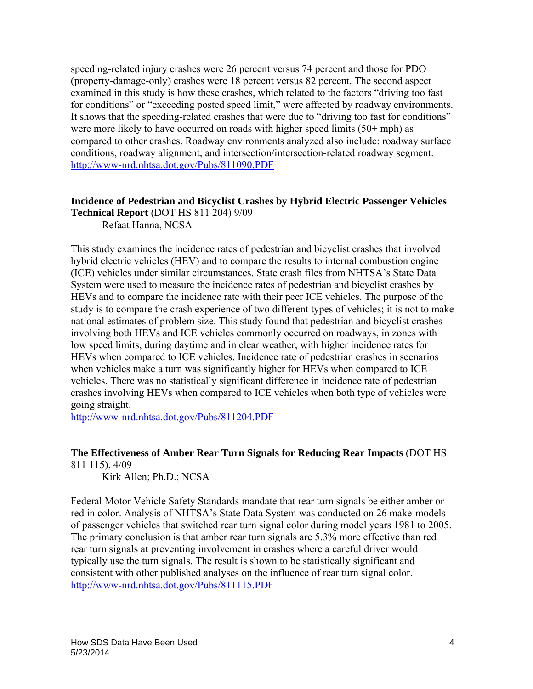speeding-related injury crashes were 26 percent versus 74 percent and those for PDO (property-damage-only) crashes were 18 percent versus 82 percent. The second aspect examined in this study is how these crashes, which related to the factors "driving too fast for conditions" or "exceeding posted speed limit," were affected by roadway environments. It shows that the speeding-related crashes that were due to "driving too fast for conditions" were more likely to have occurred on roads with higher speed limits (50+ mph) as compared to other crashes. Roadway environments analyzed also include: roadway surface conditions, roadway alignment, and intersection/intersection-related roadway segment. http://www-nrd.nhtsa.dot.gov/Pubs/811090.PDF

# **Incidence of Pedestrian and Bicyclist Crashes by Hybrid Electric Passenger Vehicles**

**Technical Report** (DOT HS 811 204) 9/09 Refaat Hanna, NCSA

This study examines the incidence rates of pedestrian and bicyclist crashes that involved hybrid electric vehicles (HEV) and to compare the results to internal combustion engine (ICE) vehicles under similar circumstances. State crash files from NHTSA's State Data System were used to measure the incidence rates of pedestrian and bicyclist crashes by HEVs and to compare the incidence rate with their peer ICE vehicles. The purpose of the study is to compare the crash experience of two different types of vehicles; it is not to make national estimates of problem size. This study found that pedestrian and bicyclist crashes involving both HEVs and ICE vehicles commonly occurred on roadways, in zones with low speed limits, during daytime and in clear weather, with higher incidence rates for HEVs when compared to ICE vehicles. Incidence rate of pedestrian crashes in scenarios when vehicles make a turn was significantly higher for HEVs when compared to ICE vehicles. There was no statistically significant difference in incidence rate of pedestrian crashes involving HEVs when compared to ICE vehicles when both type of vehicles were going straight.

http://www-nrd.nhtsa.dot.gov/Pubs/811204.PDF

# **The Effectiveness of Amber Rear Turn Signals for Reducing Rear Impacts** (DOT HS 811 115), 4/09

Kirk Allen; Ph.D.; NCSA

Federal Motor Vehicle Safety Standards mandate that rear turn signals be either amber or red in color. Analysis of NHTSA's State Data System was conducted on 26 make-models of passenger vehicles that switched rear turn signal color during model years 1981 to 2005. The primary conclusion is that amber rear turn signals are 5.3% more effective than red rear turn signals at preventing involvement in crashes where a careful driver would typically use the turn signals. The result is shown to be statistically significant and consistent with other published analyses on the influence of rear turn signal color. http://www-nrd.nhtsa.dot.gov/Pubs/811115.PDF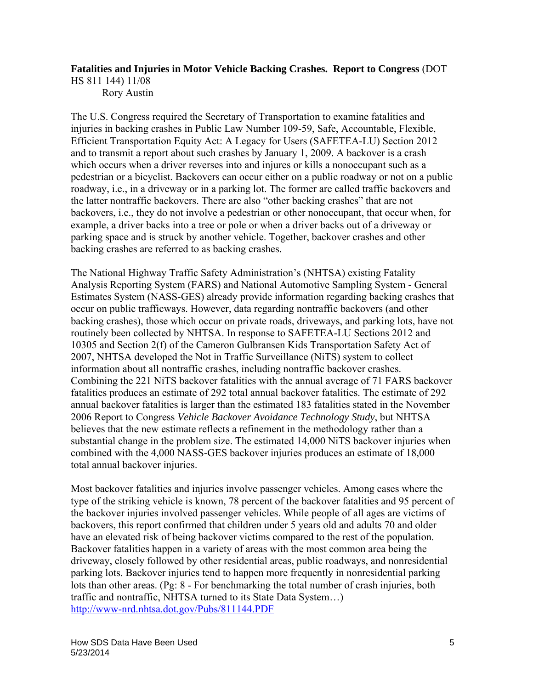# **Fatalities and Injuries in Motor Vehicle Backing Crashes. Report to Congress** (DOT

HS 811 144) 11/08

Rory Austin

The U.S. Congress required the Secretary of Transportation to examine fatalities and injuries in backing crashes in Public Law Number 109-59, Safe, Accountable, Flexible, Efficient Transportation Equity Act: A Legacy for Users (SAFETEA-LU) Section 2012 and to transmit a report about such crashes by January 1, 2009. A backover is a crash which occurs when a driver reverses into and injures or kills a nonoccupant such as a pedestrian or a bicyclist. Backovers can occur either on a public roadway or not on a public roadway, i.e., in a driveway or in a parking lot. The former are called traffic backovers and the latter nontraffic backovers. There are also "other backing crashes" that are not backovers, i.e., they do not involve a pedestrian or other nonoccupant, that occur when, for example, a driver backs into a tree or pole or when a driver backs out of a driveway or parking space and is struck by another vehicle. Together, backover crashes and other backing crashes are referred to as backing crashes.

The National Highway Traffic Safety Administration's (NHTSA) existing Fatality Analysis Reporting System (FARS) and National Automotive Sampling System - General Estimates System (NASS-GES) already provide information regarding backing crashes that occur on public trafficways. However, data regarding nontraffic backovers (and other backing crashes), those which occur on private roads, driveways, and parking lots, have not routinely been collected by NHTSA. In response to SAFETEA-LU Sections 2012 and 10305 and Section 2(f) of the Cameron Gulbransen Kids Transportation Safety Act of 2007, NHTSA developed the Not in Traffic Surveillance (NiTS) system to collect information about all nontraffic crashes, including nontraffic backover crashes. Combining the 221 NiTS backover fatalities with the annual average of 71 FARS backover fatalities produces an estimate of 292 total annual backover fatalities. The estimate of 292 annual backover fatalities is larger than the estimated 183 fatalities stated in the November 2006 Report to Congress *Vehicle Backover Avoidance Technology Study*, but NHTSA believes that the new estimate reflects a refinement in the methodology rather than a substantial change in the problem size. The estimated 14,000 NiTS backover injuries when combined with the 4,000 NASS-GES backover injuries produces an estimate of 18,000 total annual backover injuries.

Most backover fatalities and injuries involve passenger vehicles. Among cases where the type of the striking vehicle is known, 78 percent of the backover fatalities and 95 percent of the backover injuries involved passenger vehicles. While people of all ages are victims of backovers, this report confirmed that children under 5 years old and adults 70 and older have an elevated risk of being backover victims compared to the rest of the population. Backover fatalities happen in a variety of areas with the most common area being the driveway, closely followed by other residential areas, public roadways, and nonresidential parking lots. Backover injuries tend to happen more frequently in nonresidential parking lots than other areas. (Pg: 8 - For benchmarking the total number of crash injuries, both traffic and nontraffic, NHTSA turned to its State Data System…) http://www-nrd.nhtsa.dot.gov/Pubs/811144.PDF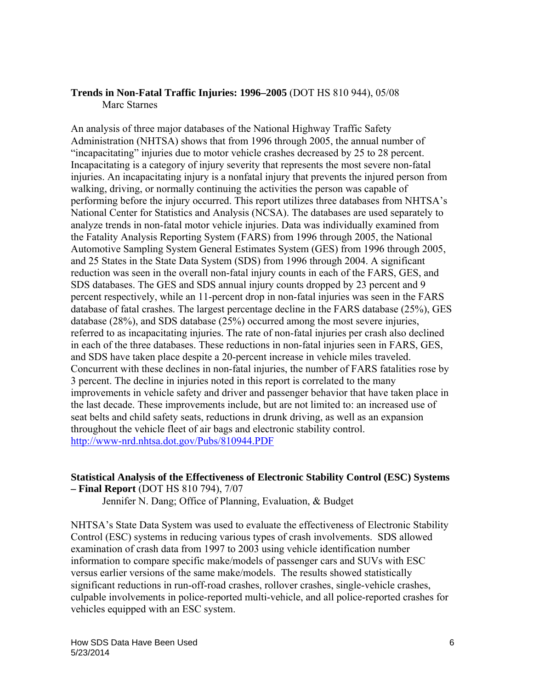#### **Trends in Non-Fatal Traffic Injuries: 1996–2005** (DOT HS 810 944), 05/08 Marc Starnes

An analysis of three major databases of the National Highway Traffic Safety Administration (NHTSA) shows that from 1996 through 2005, the annual number of "incapacitating" injuries due to motor vehicle crashes decreased by 25 to 28 percent. Incapacitating is a category of injury severity that represents the most severe non-fatal injuries. An incapacitating injury is a nonfatal injury that prevents the injured person from walking, driving, or normally continuing the activities the person was capable of performing before the injury occurred. This report utilizes three databases from NHTSA's National Center for Statistics and Analysis (NCSA). The databases are used separately to analyze trends in non-fatal motor vehicle injuries. Data was individually examined from the Fatality Analysis Reporting System (FARS) from 1996 through 2005, the National Automotive Sampling System General Estimates System (GES) from 1996 through 2005, and 25 States in the State Data System (SDS) from 1996 through 2004. A significant reduction was seen in the overall non-fatal injury counts in each of the FARS, GES, and SDS databases. The GES and SDS annual injury counts dropped by 23 percent and 9 percent respectively, while an 11-percent drop in non-fatal injuries was seen in the FARS database of fatal crashes. The largest percentage decline in the FARS database (25%), GES database (28%), and SDS database (25%) occurred among the most severe injuries, referred to as incapacitating injuries. The rate of non-fatal injuries per crash also declined in each of the three databases. These reductions in non-fatal injuries seen in FARS, GES, and SDS have taken place despite a 20-percent increase in vehicle miles traveled. Concurrent with these declines in non-fatal injuries, the number of FARS fatalities rose by 3 percent. The decline in injuries noted in this report is correlated to the many improvements in vehicle safety and driver and passenger behavior that have taken place in the last decade. These improvements include, but are not limited to: an increased use of seat belts and child safety seats, reductions in drunk driving, as well as an expansion throughout the vehicle fleet of air bags and electronic stability control. http://www-nrd.nhtsa.dot.gov/Pubs/810944.PDF

#### **Statistical Analysis of the Effectiveness of Electronic Stability Control (ESC) Systems – Final Report** (DOT HS 810 794), 7/07

Jennifer N. Dang; Office of Planning, Evaluation, & Budget

NHTSA's State Data System was used to evaluate the effectiveness of Electronic Stability Control (ESC) systems in reducing various types of crash involvements. SDS allowed examination of crash data from 1997 to 2003 using vehicle identification number information to compare specific make/models of passenger cars and SUVs with ESC versus earlier versions of the same make/models. The results showed statistically significant reductions in run-off-road crashes, rollover crashes, single-vehicle crashes, culpable involvements in police-reported multi-vehicle, and all police-reported crashes for vehicles equipped with an ESC system.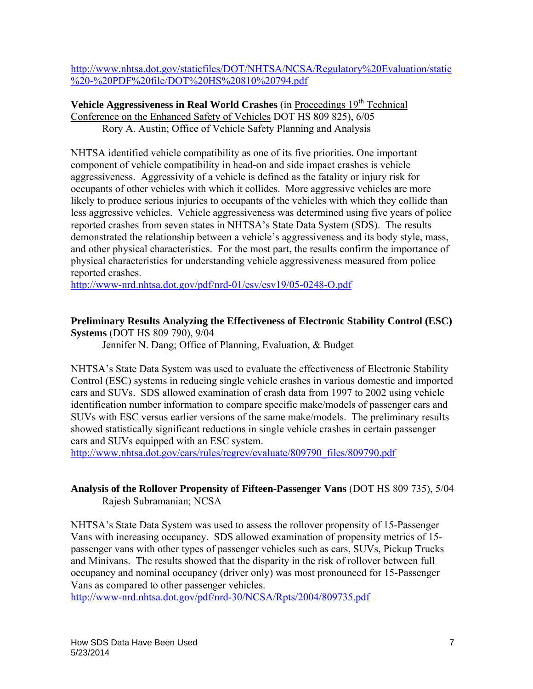http://www.nhtsa.dot.gov/staticfiles/DOT/NHTSA/NCSA/Regulatory%20Evaluation/static %20-%20PDF%20file/DOT%20HS%20810%20794.pdf

**Vehicle Aggressiveness in Real World Crashes** (in Proceedings 19<sup>th</sup> Technical Conference on the Enhanced Safety of Vehicles DOT HS 809 825), 6/05 Rory A. Austin; Office of Vehicle Safety Planning and Analysis

NHTSA identified vehicle compatibility as one of its five priorities. One important component of vehicle compatibility in head-on and side impact crashes is vehicle aggressiveness. Aggressivity of a vehicle is defined as the fatality or injury risk for occupants of other vehicles with which it collides. More aggressive vehicles are more likely to produce serious injuries to occupants of the vehicles with which they collide than less aggressive vehicles. Vehicle aggressiveness was determined using five years of police reported crashes from seven states in NHTSA's State Data System (SDS). The results demonstrated the relationship between a vehicle's aggressiveness and its body style, mass, and other physical characteristics. For the most part, the results confirm the importance of physical characteristics for understanding vehicle aggressiveness measured from police reported crashes.

http://www-nrd.nhtsa.dot.gov/pdf/nrd-01/esv/esv19/05-0248-O.pdf

#### **Preliminary Results Analyzing the Effectiveness of Electronic Stability Control (ESC) Systems** (DOT HS 809 790), 9/04

Jennifer N. Dang; Office of Planning, Evaluation, & Budget

NHTSA's State Data System was used to evaluate the effectiveness of Electronic Stability Control (ESC) systems in reducing single vehicle crashes in various domestic and imported cars and SUVs. SDS allowed examination of crash data from 1997 to 2002 using vehicle identification number information to compare specific make/models of passenger cars and SUVs with ESC versus earlier versions of the same make/models. The preliminary results showed statistically significant reductions in single vehicle crashes in certain passenger cars and SUVs equipped with an ESC system.

http://www.nhtsa.dot.gov/cars/rules/regrev/evaluate/809790\_files/809790.pdf

# **Analysis of the Rollover Propensity of Fifteen-Passenger Vans** (DOT HS 809 735), 5/04 Rajesh Subramanian; NCSA

NHTSA's State Data System was used to assess the rollover propensity of 15-Passenger Vans with increasing occupancy. SDS allowed examination of propensity metrics of 15 passenger vans with other types of passenger vehicles such as cars, SUVs, Pickup Trucks and Minivans. The results showed that the disparity in the risk of rollover between full occupancy and nominal occupancy (driver only) was most pronounced for 15-Passenger Vans as compared to other passenger vehicles.

http://www-nrd.nhtsa.dot.gov/pdf/nrd-30/NCSA/Rpts/2004/809735.pdf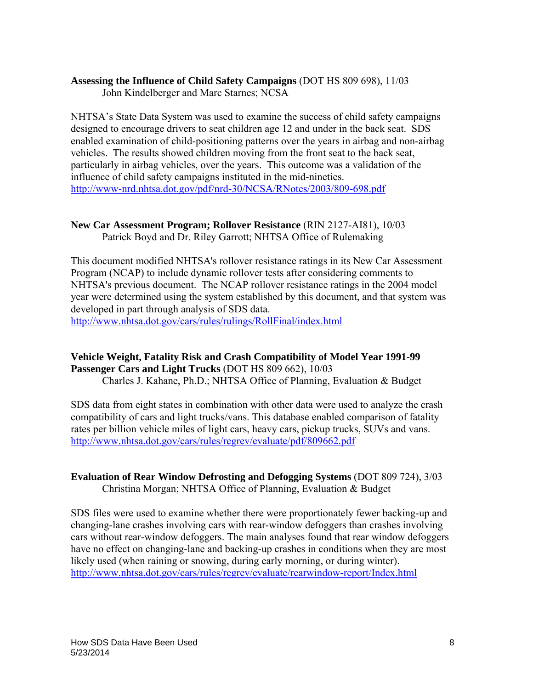# **Assessing the Influence of Child Safety Campaigns** (DOT HS 809 698), 11/03

John Kindelberger and Marc Starnes; NCSA

NHTSA's State Data System was used to examine the success of child safety campaigns designed to encourage drivers to seat children age 12 and under in the back seat. SDS enabled examination of child-positioning patterns over the years in airbag and non-airbag vehicles. The results showed children moving from the front seat to the back seat, particularly in airbag vehicles, over the years. This outcome was a validation of the influence of child safety campaigns instituted in the mid-nineties. http://www-nrd.nhtsa.dot.gov/pdf/nrd-30/NCSA/RNotes/2003/809-698.pdf

#### **New Car Assessment Program; Rollover Resistance** (RIN 2127-AI81), 10/03 Patrick Boyd and Dr. Riley Garrott; NHTSA Office of Rulemaking

This document modified NHTSA's rollover resistance ratings in its New Car Assessment Program (NCAP) to include dynamic rollover tests after considering comments to NHTSA's previous document. The NCAP rollover resistance ratings in the 2004 model year were determined using the system established by this document, and that system was developed in part through analysis of SDS data.

http://www.nhtsa.dot.gov/cars/rules/rulings/RollFinal/index.html

# **Vehicle Weight, Fatality Risk and Crash Compatibility of Model Year 1991-99 Passenger Cars and Light Trucks** (DOT HS 809 662), 10/03

Charles J. Kahane, Ph.D.; NHTSA Office of Planning, Evaluation & Budget

SDS data from eight states in combination with other data were used to analyze the crash compatibility of cars and light trucks/vans. This database enabled comparison of fatality rates per billion vehicle miles of light cars, heavy cars, pickup trucks, SUVs and vans. http://www.nhtsa.dot.gov/cars/rules/regrev/evaluate/pdf/809662.pdf

# **Evaluation of Rear Window Defrosting and Defogging Systems** (DOT 809 724), 3/03 Christina Morgan; NHTSA Office of Planning, Evaluation & Budget

SDS files were used to examine whether there were proportionately fewer backing-up and changing-lane crashes involving cars with rear-window defoggers than crashes involving cars without rear-window defoggers. The main analyses found that rear window defoggers have no effect on changing-lane and backing-up crashes in conditions when they are most likely used (when raining or snowing, during early morning, or during winter). http://www.nhtsa.dot.gov/cars/rules/regrev/evaluate/rearwindow-report/Index.html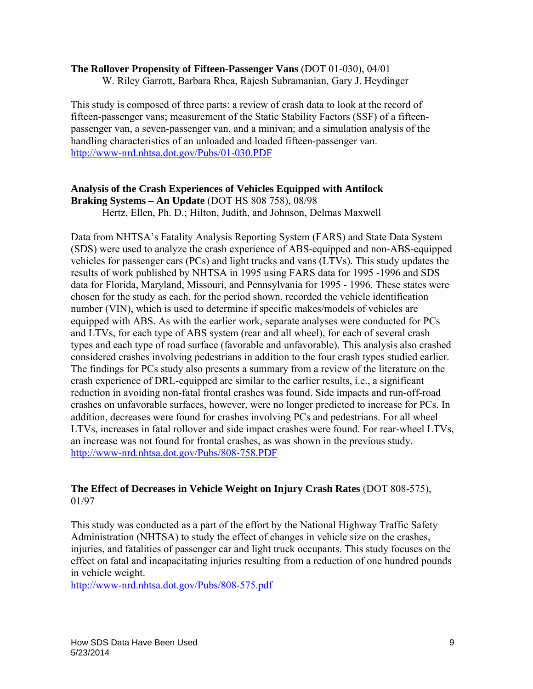#### **The Rollover Propensity of Fifteen-Passenger Vans** (DOT 01-030), 04/01

W. Riley Garrott, Barbara Rhea, Rajesh Subramanian, Gary J. Heydinger

This study is composed of three parts: a review of crash data to look at the record of fifteen-passenger vans; measurement of the Static Stability Factors (SSF) of a fifteenpassenger van, a seven-passenger van, and a minivan; and a simulation analysis of the handling characteristics of an unloaded and loaded fifteen-passenger van. http://www-nrd.nhtsa.dot.gov/Pubs/01-030.PDF

#### **Analysis of the Crash Experiences of Vehicles Equipped with Antilock Braking Systems – An Update** (DOT HS 808 758), 08/98

Hertz, Ellen, Ph. D.; Hilton, Judith, and Johnson, Delmas Maxwell

Data from NHTSA's Fatality Analysis Reporting System (FARS) and State Data System (SDS) were used to analyze the crash experience of ABS-equipped and non-ABS-equipped vehicles for passenger cars (PCs) and light trucks and vans (LTVs). This study updates the results of work published by NHTSA in 1995 using FARS data for 1995 -1996 and SDS data for Florida, Maryland, Missouri, and Pennsylvania for 1995 - 1996. These states were chosen for the study as each, for the period shown, recorded the vehicle identification number (VIN), which is used to determine if specific makes/models of vehicles are equipped with ABS. As with the earlier work, separate analyses were conducted for PCs and LTVs, for each type of ABS system (rear and all wheel), for each of several crash types and each type of road surface (favorable and unfavorable). This analysis also crashed considered crashes involving pedestrians in addition to the four crash types studied earlier. The findings for PCs study also presents a summary from a review of the literature on the crash experience of DRL-equipped are similar to the earlier results, i.e., a significant reduction in avoiding non-fatal frontal crashes was found. Side impacts and run-off-road crashes on unfavorable surfaces, however, were no longer predicted to increase for PCs. In addition, decreases were found for crashes involving PCs and pedestrians. For all wheel LTVs, increases in fatal rollover and side impact crashes were found. For rear-wheel LTVs, an increase was not found for frontal crashes, as was shown in the previous study. http://www-nrd.nhtsa.dot.gov/Pubs/808-758.PDF

# **The Effect of Decreases in Vehicle Weight on Injury Crash Rates** (DOT 808-575), 01/97

This study was conducted as a part of the effort by the National Highway Traffic Safety Administration (NHTSA) to study the effect of changes in vehicle size on the crashes, injuries, and fatalities of passenger car and light truck occupants. This study focuses on the effect on fatal and incapacitating injuries resulting from a reduction of one hundred pounds in vehicle weight.

http://www-nrd.nhtsa.dot.gov/Pubs/808-575.pdf